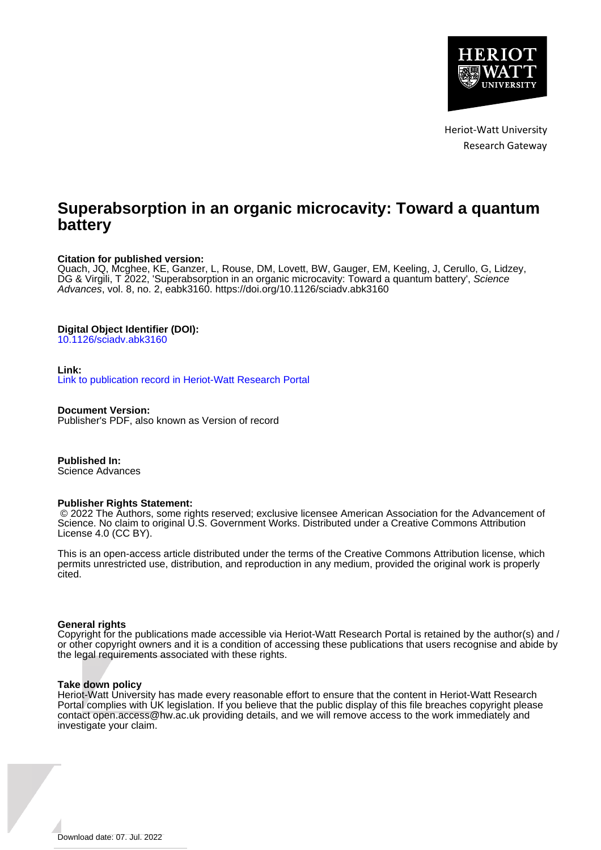

Heriot-Watt University Research Gateway

# **Superabsorption in an organic microcavity: Toward a quantum battery**

# **Citation for published version:**

Quach, JQ, Mcghee, KE, Ganzer, L, Rouse, DM, Lovett, BW, Gauger, EM, Keeling, J, Cerullo, G, Lidzey, DG & Virgili, T 2022, 'Superabsorption in an organic microcavity: Toward a quantum battery', Science Advances, vol. 8, no. 2, eabk3160.<https://doi.org/10.1126/sciadv.abk3160>

# **Digital Object Identifier (DOI):**

[10.1126/sciadv.abk3160](https://doi.org/10.1126/sciadv.abk3160)

# **Link:**

[Link to publication record in Heriot-Watt Research Portal](https://researchportal.hw.ac.uk/en/publications/1c2f59bf-c9d1-4329-8c9a-1dcc5ba0bb7b)

**Document Version:** Publisher's PDF, also known as Version of record

**Published In:** Science Advances

# **Publisher Rights Statement:**

 © 2022 The Authors, some rights reserved; exclusive licensee American Association for the Advancement of Science. No claim to original U.S. Government Works. Distributed under a Creative Commons Attribution License 4.0 (CC BY).

This is an open-access article distributed under the terms of the Creative Commons Attribution license, which permits unrestricted use, distribution, and reproduction in any medium, provided the original work is properly cited.

# **General rights**

Copyright for the publications made accessible via Heriot-Watt Research Portal is retained by the author(s) and / or other copyright owners and it is a condition of accessing these publications that users recognise and abide by the legal requirements associated with these rights.

# **Take down policy**

Heriot-Watt University has made every reasonable effort to ensure that the content in Heriot-Watt Research Portal complies with UK legislation. If you believe that the public display of this file breaches copyright please contact open.access@hw.ac.uk providing details, and we will remove access to the work immediately and investigate your claim.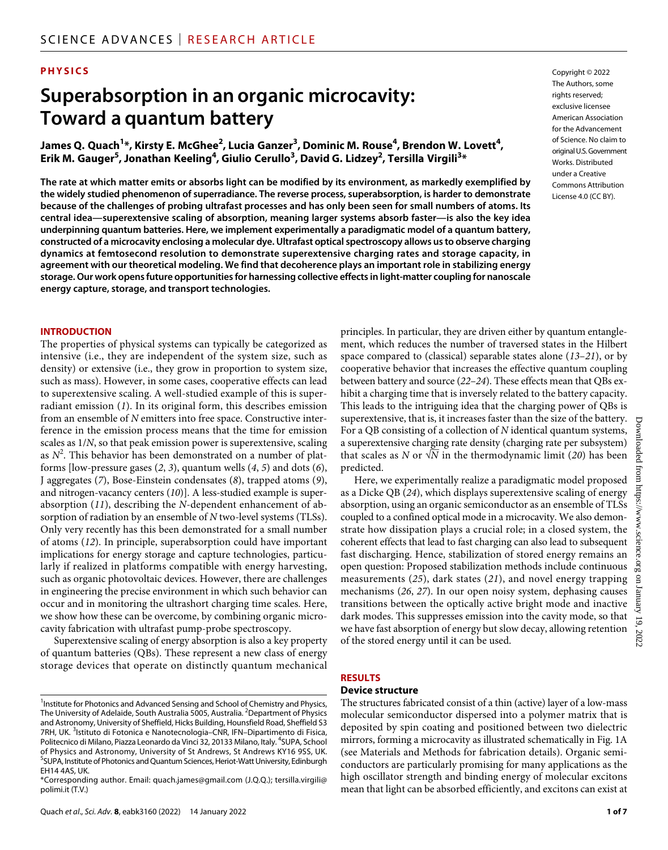# **PHYSICS**

# **Superabsorption in an organic microcavity: Toward a quantum battery**

James Q. Quach<sup>1</sup>\*, Kirsty E. McGhee<sup>2</sup>, Lucia Ganzer<sup>3</sup>, Dominic M. Rouse<sup>4</sup>, Brendon W. Lovett<sup>4</sup>,  $\mathsf{Err} \mathsf{M}.$  Gauger ${}^5$ , Jonathan Keeling ${}^4$ , Giulio Cerullo ${}^3$ , David G. Lidzey ${}^2$ , Tersilla Virgili ${}^{3*}$ 

**The rate at which matter emits or absorbs light can be modified by its environment, as markedly exemplified by the widely studied phenomenon of superradiance. The reverse process, superabsorption, is harder to demonstrate because of the challenges of probing ultrafast processes and has only been seen for small numbers of atoms. Its central idea—superextensive scaling of absorption, meaning larger systems absorb faster—is also the key idea underpinning quantum batteries. Here, we implement experimentally a paradigmatic model of a quantum battery, constructed of a microcavity enclosing a molecular dye. Ultrafast optical spectroscopy allows us to observe charging dynamics at femtosecond resolution to demonstrate superextensive charging rates and storage capacity, in agreement with our theoretical modeling. We find that decoherence plays an important role in stabilizing energy storage. Our work opens future opportunities for harnessing collective effects in light-matter coupling for nanoscale energy capture, storage, and transport technologies.**

#### **INTRODUCTION**

The properties of physical systems can typically be categorized as intensive (i.e., they are independent of the system size, such as density) or extensive (i.e., they grow in proportion to system size, such as mass). However, in some cases, cooperative effects can lead to superextensive scaling. A well-studied example of this is superradiant emission (*1*). In its original form, this describes emission from an ensemble of *N* emitters into free space. Constructive interference in the emission process means that the time for emission scales as 1/*N*, so that peak emission power is superextensive, scaling as *N*<sup>2</sup>. This behavior has been demonstrated on a number of platforms [low-pressure gases (*2*, *3*), quantum wells (*4*, *5*) and dots (*6*), J aggregates (*7*), Bose-Einstein condensates (*8*), trapped atoms (*9*), and nitrogen-vacancy centers (*10*)]. A less-studied example is superabsorption (*11*), describing the *N*-dependent enhancement of absorption of radiation by an ensemble of *N* two-level systems (TLSs). Only very recently has this been demonstrated for a small number of atoms (*12*). In principle, superabsorption could have important implications for energy storage and capture technologies, particularly if realized in platforms compatible with energy harvesting, such as organic photovoltaic devices. However, there are challenges in engineering the precise environment in which such behavior can occur and in monitoring the ultrashort charging time scales. Here, we show how these can be overcome, by combining organic microcavity fabrication with ultrafast pump-probe spectroscopy.

Superextensive scaling of energy absorption is also a key property of quantum batteries (QBs). These represent a new class of energy storage devices that operate on distinctly quantum mechanical Copyright © 2022 The Authors, some rights reserved: exclusive licensee American Association for the Advancement of Science. No claim to original U.S.Government Works. Distributed under a Creative Commons Attribution License 4.0 (CC BY).

principles. In particular, they are driven either by quantum entanglement, which reduces the number of traversed states in the Hilbert space compared to (classical) separable states alone (*13*–*21*), or by cooperative behavior that increases the effective quantum coupling between battery and source (*22*–*24*). These effects mean that QBs exhibit a charging time that is inversely related to the battery capacity. This leads to the intriguing idea that the charging power of QBs is superextensive, that is, it increases faster than the size of the battery. For a QB consisting of a collection of *N* identical quantum systems, a superextensive charging rate density (charging rate per subsystem)<br>that seales as N an  $\sqrt{N}$  in the thermodynamic limit (20) has been that scales as *N* or √ *N* in the thermodynamic limit (*20*) has been predicted.

Here, we experimentally realize a paradigmatic model proposed as a Dicke QB (*24*), which displays superextensive scaling of energy absorption, using an organic semiconductor as an ensemble of TLSs coupled to a confined optical mode in a microcavity. We also demonstrate how dissipation plays a crucial role; in a closed system, the coherent effects that lead to fast charging can also lead to subsequent fast discharging. Hence, stabilization of stored energy remains an open question: Proposed stabilization methods include continuous measurements (*25*), dark states (*21*), and novel energy trapping mechanisms (*26*, *27*). In our open noisy system, dephasing causes transitions between the optically active bright mode and inactive dark modes. This suppresses emission into the cavity mode, so that we have fast absorption of energy but slow decay, allowing retention of the stored energy until it can be used.

# **RESULTS**

#### **Device structure**

The structures fabricated consist of a thin (active) layer of a low-mass molecular semiconductor dispersed into a polymer matrix that is deposited by spin coating and positioned between two dielectric mirrors, forming a microcavity as illustrated schematically in Fig. 1A (see Materials and Methods for fabrication details). Organic semiconductors are particularly promising for many applications as the high oscillator strength and binding energy of molecular excitons mean that light can be absorbed efficiently, and excitons can exist at

<sup>&</sup>lt;sup>1</sup> Institute for Photonics and Advanced Sensing and School of Chemistry and Physics, The University of Adelaide, South Australia 5005, Australia. <sup>2</sup>Department of Physics and Astronomy, University of Sheffield, Hicks Building, Hounsfield Road, Sheffield S3 7RH, UK. <sup>3</sup>Istituto di Fotonica e Nanotecnologia–CNR, IFN–Dipartimento di Fisica, Politecnico di Milano, Piazza Leonardo da Vinci 32, 20133 Milano, Italy. <sup>4</sup>SUPA, School of Physics and Astronomy, University of St Andrews, St Andrews KY16 9SS, UK. 5 SUPA, Institute of Photonics and Quantum Sciences, Heriot-Watt University, Edinburgh EH14 4AS, UK.

<sup>\*</sup>Corresponding author. Email: [quach.james@gmail.com](mailto:quach.james@gmail.com) (J.Q.Q.); [tersilla.virgili@](mailto:tersilla.virgili@polimi.it) [polimi.it](mailto:tersilla.virgili@polimi.it) (T.V.)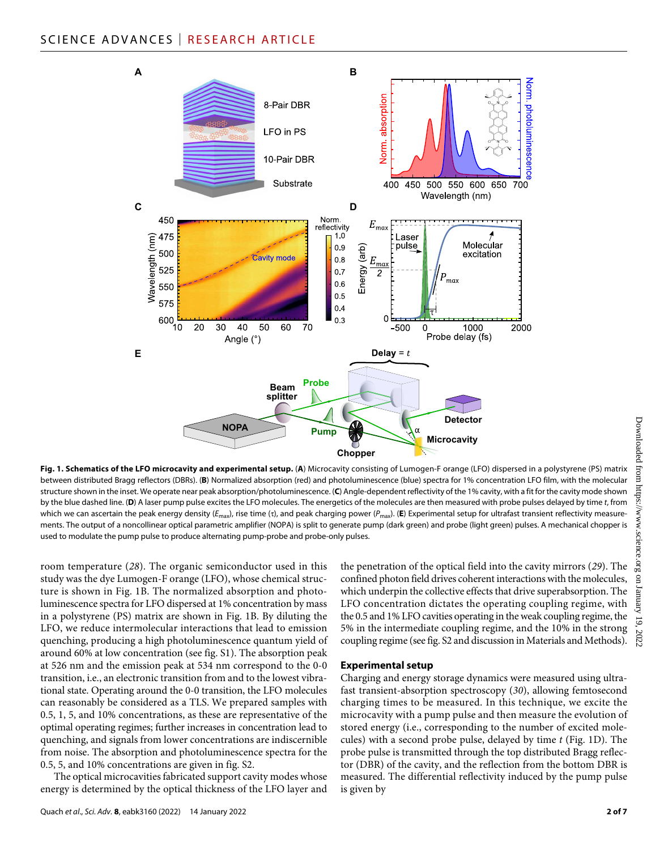# SCIENCE ADVANCES | RESEARCH ARTICLE



Fig. 1. Schematics of the LFO microcavity and experimental setup. (A) Microcavity consisting of Lumogen-F orange (LFO) dispersed in a polystyrene (PS) matrix between distributed Bragg reflectors (DBRs). (**B**) Normalized absorption (red) and photoluminescence (blue) spectra for 1% concentration LFO film, with the molecular structure shown in the inset. We operate near peak absorption/photoluminescence. (**C**) Angle-dependent reflectivity of the 1% cavity, with a fit for the cavity mode shown by the blue dashed line. (**D**) A laser pump pulse excites the LFO molecules. The energetics of the molecules are then measured with probe pulses delayed by time *t*, from which we can ascertain the peak energy density ( $E_{\text{max}}$ ), rise time (τ), and peak charging power ( $P_{\text{max}}$ ). (**E**) Experimental setup for ultrafast transient reflectivity measurements. The output of a noncollinear optical parametric amplifier (NOPA) is split to generate pump (dark green) and probe (light green) pulses. A mechanical chopper is used to modulate the pump pulse to produce alternating pump-probe and probe-only pulses.

room temperature (*28*). The organic semiconductor used in this study was the dye Lumogen-F orange (LFO), whose chemical structure is shown in Fig. 1B. The normalized absorption and photoluminescence spectra for LFO dispersed at 1% concentration by mass in a polystyrene (PS) matrix are shown in Fig. 1B. By diluting the LFO, we reduce intermolecular interactions that lead to emission quenching, producing a high photoluminescence quantum yield of around 60% at low concentration (see fig. S1). The absorption peak at 526 nm and the emission peak at 534 nm correspond to the 0-0 transition, i.e., an electronic transition from and to the lowest vibrational state. Operating around the 0-0 transition, the LFO molecules can reasonably be considered as a TLS. We prepared samples with 0.5, 1, 5, and 10% concentrations, as these are representative of the optimal operating regimes; further increases in concentration lead to quenching, and signals from lower concentrations are indiscernible from noise. The absorption and photoluminescence spectra for the 0.5, 5, and 10% concentrations are given in fig. S2.

The optical microcavities fabricated support cavity modes whose energy is determined by the optical thickness of the LFO layer and

Quach *et al*., *Sci. Adv.* **8**, eabk3160 (2022) 14 January 2022

the penetration of the optical field into the cavity mirrors (*29*). The confined photon field drives coherent interactions with the molecules, which underpin the collective effects that drive superabsorption. The LFO concentration dictates the operating coupling regime, with the 0.5 and 1% LFO cavities operating in the weak coupling regime, the 5% in the intermediate coupling regime, and the 10% in the strong coupling regime (see fig. S2 and discussion in Materials and Methods).

#### **Experimental setup**

Charging and energy storage dynamics were measured using ultrafast transient-absorption spectroscopy (*30*), allowing femtosecond charging times to be measured. In this technique, we excite the microcavity with a pump pulse and then measure the evolution of stored energy (i.e., corresponding to the number of excited molecules) with a second probe pulse, delayed by time *t* (Fig. 1D). The probe pulse is transmitted through the top distributed Bragg reflector (DBR) of the cavity, and the reflection from the bottom DBR is measured. The differential reflectivity induced by the pump pulse is given by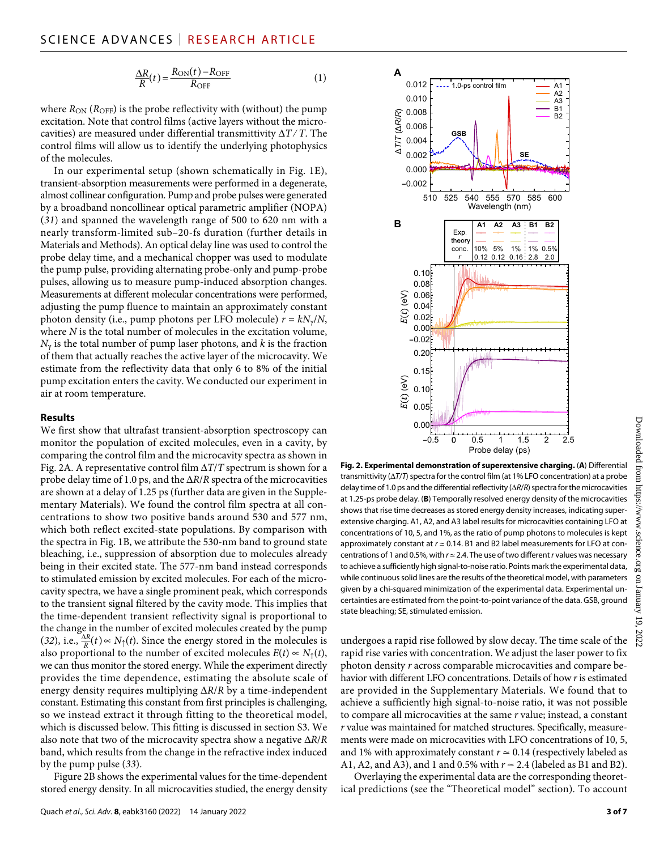$$
ANCES | RESEARCH ARTICLE
$$
\n
$$
\frac{\Delta R}{R}(t) = \frac{R_{ON}(t) - R_{OFF}}{R_{OFF}}
$$
\n(1)

where  $R_{\text{ON}}$  ( $R_{\text{OFF}}$ ) is the probe reflectivity with (without) the pump excitation. Note that control films (active layers without the microcavities) are measured under differential transmittivity  $\Delta T/T$ . The control films will allow us to identify the underlying photophysics of the molecules.

In our experimental setup (shown schematically in Fig. 1E), transient-absorption measurements were performed in a degenerate, almost collinear configuration. Pump and probe pulses were generated by a broadband noncollinear optical parametric amplifier (NOPA) (*31*) and spanned the wavelength range of 500 to 620 nm with a nearly transform-limited sub–20-fs duration (further details in Materials and Methods). An optical delay line was used to control the probe delay time, and a mechanical chopper was used to modulate the pump pulse, providing alternating probe-only and pump-probe pulses, allowing us to measure pump-induced absorption changes. Measurements at different molecular concentrations were performed, adjusting the pump fluence to maintain an approximately constant photon density (i.e., pump photons per LFO molecule)  $r = kN_v/N$ , where *N* is the total number of molecules in the excitation volume,  $N_{\gamma}$  is the total number of pump laser photons, and *k* is the fraction of them that actually reaches the active layer of the microcavity. We estimate from the reflectivity data that only 6 to 8% of the initial pump excitation enters the cavity. We conducted our experiment in air at room temperature.

# **Results**

We first show that ultrafast transient-absorption spectroscopy can monitor the population of excited molecules, even in a cavity, by comparing the control film and the microcavity spectra as shown in Fig. 2A. A representative control film  $\Delta T/T$  spectrum is shown for a probe delay time of 1.0 ps, and the  $\Delta R/R$  spectra of the microcavities are shown at a delay of 1.25 ps (further data are given in the Supplementary Materials). We found the control film spectra at all concentrations to show two positive bands around 530 and 577 nm, which both reflect excited-state populations. By comparison with the spectra in Fig. 1B, we attribute the 530-nm band to ground state bleaching, i.e., suppression of absorption due to molecules already being in their excited state. The 577-nm band instead corresponds to stimulated emission by excited molecules. For each of the microcavity spectra, we have a single prominent peak, which corresponds to the transient signal filtered by the cavity mode. This implies that the time-dependent transient reflectivity signal is proportional to the change in the number of excited molecules created by the pump (32), i.e.,  $\frac{AR}{R}(t) \propto N_{\uparrow}(t)$ . Since the energy stored in the molecules is also proportional to the number of excited molecules  $E(t) \propto N_1(t)$ , we can thus monitor the stored energy. While the experiment directly provides the time dependence, estimating the absolute scale of energy density requires multiplying  $\Delta R/R$  by a time-independent constant. Estimating this constant from first principles is challenging, so we instead extract it through fitting to the theoretical model, which is discussed below. This fitting is discussed in section S3. We also note that two of the microcavity spectra show a negative  $\Delta R/R$ band, which results from the change in the refractive index induced by the pump pulse (*33*).

Figure 2B shows the experimental values for the time-dependent stored energy density. In all microcavities studied, the energy density



**Fig. 2. Experimental demonstration of superextensive charging.** (**A**) Differential transmittivity  $(\Delta T/T)$  spectra for the control film (at 1% LFO concentration) at a probe delay time of 1.0 ps and the differential reflectivity (*R*/*R*) spectra for the microcavities at 1.25-ps probe delay. (**B**) Temporally resolved energy density of the microcavities shows that rise time decreases as stored energy density increases, indicating superextensive charging. A1, A2, and A3 label results for microcavities containing LFO at concentrations of 10, 5, and 1%, as the ratio of pump photons to molecules is kept approximately constant at *r* ≃ 0.14. B1 and B2 label measurements for LFO at concentrations of 1 and 0.5%, with *r* ≃ 2.4. The use of two different *r* values was necessary to achieve a sufficiently high signal-to-noise ratio. Points mark the experimental data, while continuous solid lines are the results of the theoretical model, with parameters given by a chi-squared minimization of the experimental data. Experimental uncertainties are estimated from the point-to-point variance of the data. GSB, ground state bleaching; SE, stimulated emission.

undergoes a rapid rise followed by slow decay. The time scale of the rapid rise varies with concentration. We adjust the laser power to fix photon density *r* across comparable microcavities and compare behavior with different LFO concentrations. Details of how *r* is estimated are provided in the Supplementary Materials. We found that to achieve a sufficiently high signal-to-noise ratio, it was not possible to compare all microcavities at the same *r* value; instead, a constant *r* value was maintained for matched structures. Specifically, measurements were made on microcavities with LFO concentrations of 10, 5, and 1% with approximately constant  $r \approx 0.14$  (respectively labeled as A1, A2, and A3), and 1 and 0.5% with  $r \approx 2.4$  (labeled as B1 and B2).

Overlaying the experimental data are the corresponding theoretical predictions (see the "Theoretical model" section). To account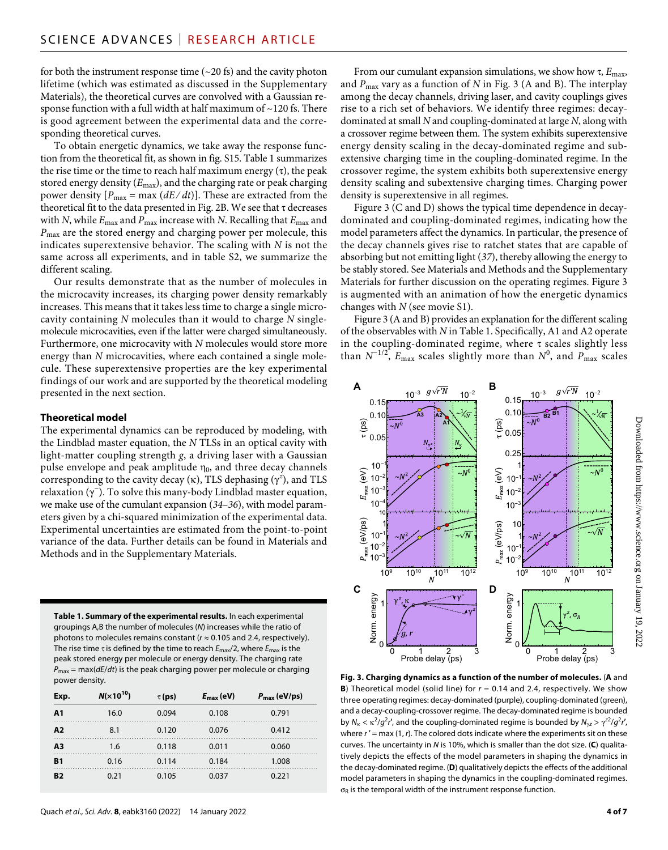for both the instrument response time  $(-20 \text{ fs})$  and the cavity photon lifetime (which was estimated as discussed in the Supplementary Materials), the theoretical curves are convolved with a Gaussian response function with a full width at half maximum of  $\sim$ 120 fs. There is good agreement between the experimental data and the corresponding theoretical curves.

To obtain energetic dynamics, we take away the response function from the theoretical fit, as shown in fig. S15. Table 1 summarizes the rise time or the time to reach half maximum energy  $(\tau)$ , the peak stored energy density (*E*max), and the charging rate or peak charging power density  $[P_{\text{max}} = \text{max} (dE/dt)]$ . These are extracted from the theoretical fit to the data presented in Fig. 2B. We see that  $\tau$  decreases with *N*, while  $E_{\text{max}}$  and  $P_{\text{max}}$  increase with *N*. Recalling that  $E_{\text{max}}$  and *P*max are the stored energy and charging power per molecule, this indicates superextensive behavior. The scaling with *N* is not the same across all experiments, and in table S2, we summarize the different scaling.

Our results demonstrate that as the number of molecules in the microcavity increases, its charging power density remarkably increases. This means that it takes less time to charge a single microcavity containing *N* molecules than it would to charge *N* singlemolecule microcavities, even if the latter were charged simultaneously. Furthermore, one microcavity with *N* molecules would store more energy than *N* microcavities, where each contained a single molecule. These superextensive properties are the key experimental findings of our work and are supported by the theoretical modeling presented in the next section.

# **Theoretical model**

The experimental dynamics can be reproduced by modeling, with the Lindblad master equation, the *N* TLSs in an optical cavity with light-matter coupling strength *g*, a driving laser with a Gaussian pulse envelope and peak amplitude  $\eta_0$ , and three decay channels corresponding to the cavity decay ( $\kappa$ ), TLS dephasing ( $\gamma^2$ ), and TLS relaxation  $(\gamma^-)$ . To solve this many-body Lindblad master equation, we make use of the cumulant expansion (*34*–*36*), with model parameters given by a chi-squared minimization of the experimental data. Experimental uncertainties are estimated from the point-to-point variance of the data. Further details can be found in Materials and Methods and in the Supplementary Materials.

**Table 1. Summary of the experimental results.** In each experimental groupings A,B the number of molecules (*N*) increases while the ratio of photons to molecules remains constant (*r* ≈ 0.105 and 2.4, respectively). The rise time  $\tau$  is defined by the time to reach  $E_{\text{max}}/2$ , where  $E_{\text{max}}$  is the peak stored energy per molecule or energy density. The charging rate *P*max = max(*dE*/*dt*) is the peak charging power per molecule or charging power density.

| Exp. | $N(x10^{10})$ | $\tau$ (ps) | $E_{\rm max}$ (eV) | $P_{\text{max}}$ (eV/ps) |
|------|---------------|-------------|--------------------|--------------------------|
| A1   | 16.0          | 0.094       | 0.108              | 0.791                    |
| A2   | 8.1           | 0.120       | 0.076              | 0.412                    |
| A3   | 1.6           | 0.118       | 0.011              | 0.060                    |
| R1   | 0.16          | 0.114       | 0.184              | 1.008<br>                |
| R7   | 0.21          | 0.105       | 0 037              | 0.221                    |

From our cumulant expansion simulations, we show how  $\tau$ ,  $E_{\text{max}}$ , and  $P_{\text{max}}$  vary as a function of *N* in Fig. 3 (A and B). The interplay among the decay channels, driving laser, and cavity couplings gives rise to a rich set of behaviors. We identify three regimes: decaydominated at small *N* and coupling-dominated at large *N*, along with a crossover regime between them. The system exhibits superextensive energy density scaling in the decay-dominated regime and subextensive charging time in the coupling-dominated regime. In the crossover regime, the system exhibits both superextensive energy density scaling and subextensive charging times. Charging power density is superextensive in all regimes.

Figure 3 (C and D) shows the typical time dependence in decaydominated and coupling-dominated regimes, indicating how the model parameters affect the dynamics. In particular, the presence of the decay channels gives rise to ratchet states that are capable of absorbing but not emitting light (*37*), thereby allowing the energy to be stably stored. See Materials and Methods and the Supplementary Materials for further discussion on the operating regimes. Figure 3 is augmented with an animation of how the energetic dynamics changes with *N* (see movie S1).

Figure 3 (A and B) provides an explanation for the different scaling of the observables with *N* in Table 1. Specifically, A1 and A2 operate in the coupling-dominated regime, where  $\tau$  scales slightly less than  $N^{-1/2}$ ,  $E_{\text{max}}$  scales slightly more than  $N^0$ , and  $P_{\text{max}}$  scales



**Fig. 3. Charging dynamics as a function of the number of molecules.** (**A** and **B**) Theoretical model (solid line) for  $r = 0.14$  and 2.4, respectively. We show three operating regimes: decay-dominated (purple), coupling-dominated (green), and a decay-coupling-crossover regime. The decay-dominated regime is bounded by  $N_{\kappa} < \kappa^2/g^2r'$ , and the coupling-dominated regime is bounded by  $N_{\gamma z} > \gamma^{z2}/g^2r'$ , where  $r'$  = max (1, *r*). The colored dots indicate where the experiments sit on these curves. The uncertainty in *N* is 10%, which is smaller than the dot size. (**C**) qualitatively depicts the effects of the model parameters in shaping the dynamics in the decay-dominated regime. (**D**) qualitatively depicts the effects of the additional model parameters in shaping the dynamics in the coupling-dominated regimes.  $\sigma_R$  is the temporal width of the instrument response function.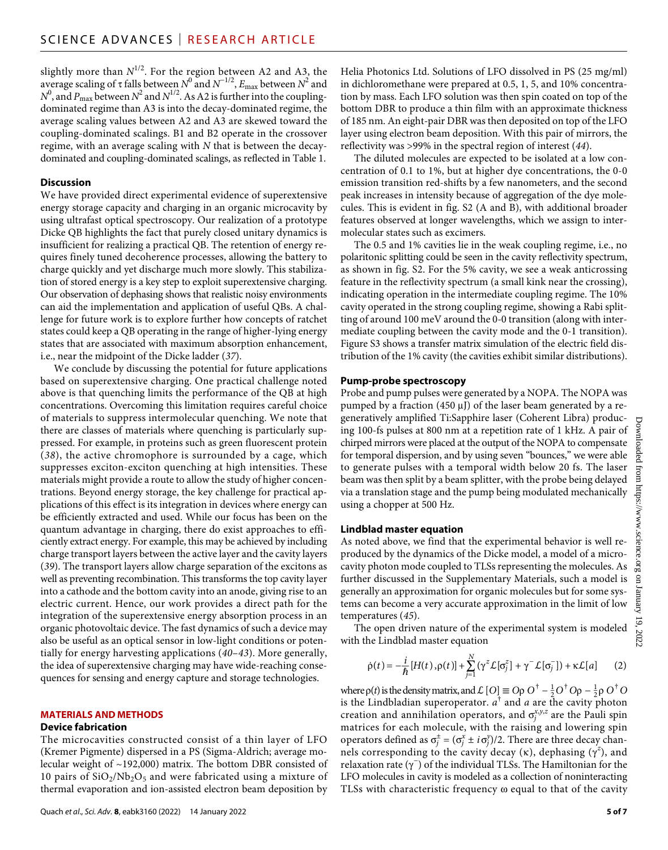slightly more than  $N^{1/2}$ . For the region between A2 and A3, the average scaling of  $\tau$  falls between  $N^0$  and  $N^{-1/2}$ ,  $E_{\text{max}}$  between  $N^2$  and  $N^0$ , and  $P_{\rm max}$  between  $N^2$  and  $N^{1/2}$ . As A2 is further into the couplingdominated regime than A3 is into the decay-dominated regime, the average scaling values between A2 and A3 are skewed toward the coupling-dominated scalings. B1 and B2 operate in the crossover regime, with an average scaling with *N* that is between the decaydominated and coupling-dominated scalings, as reflected in Table 1.

# **Discussion**

We have provided direct experimental evidence of superextensive energy storage capacity and charging in an organic microcavity by using ultrafast optical spectroscopy. Our realization of a prototype Dicke QB highlights the fact that purely closed unitary dynamics is insufficient for realizing a practical QB. The retention of energy requires finely tuned decoherence processes, allowing the battery to charge quickly and yet discharge much more slowly. This stabilization of stored energy is a key step to exploit superextensive charging. Our observation of dephasing shows that realistic noisy environments can aid the implementation and application of useful QBs. A challenge for future work is to explore further how concepts of ratchet states could keep a QB operating in the range of higher-lying energy states that are associated with maximum absorption enhancement, i.e., near the midpoint of the Dicke ladder (*37*).

We conclude by discussing the potential for future applications based on superextensive charging. One practical challenge noted above is that quenching limits the performance of the QB at high concentrations. Overcoming this limitation requires careful choice of materials to suppress intermolecular quenching. We note that there are classes of materials where quenching is particularly suppressed. For example, in proteins such as green fluorescent protein (*38*), the active chromophore is surrounded by a cage, which suppresses exciton-exciton quenching at high intensities. These materials might provide a route to allow the study of higher concentrations. Beyond energy storage, the key challenge for practical applications of this effect is its integration in devices where energy can be efficiently extracted and used. While our focus has been on the quantum advantage in charging, there do exist approaches to efficiently extract energy. For example, this may be achieved by including charge transport layers between the active layer and the cavity layers (*39*). The transport layers allow charge separation of the excitons as well as preventing recombination. This transforms the top cavity layer into a cathode and the bottom cavity into an anode, giving rise to an electric current. Hence, our work provides a direct path for the integration of the superextensive energy absorption process in an organic photovoltaic device. The fast dynamics of such a device may also be useful as an optical sensor in low-light conditions or potentially for energy harvesting applications (*40*–*43*). More generally, the idea of superextensive charging may have wide-reaching consequences for sensing and energy capture and storage technologies.

# **MATERIALS AND METHODS**

# **Device fabrication**

The microcavities constructed consist of a thin layer of LFO (Kremer Pigmente) dispersed in a PS (Sigma-Aldrich; average molecular weight of ~192,000) matrix. The bottom DBR consisted of 10 pairs of  $SiO_2/Nb_2O_5$  and were fabricated using a mixture of thermal evaporation and ion-assisted electron beam deposition by

Helia Photonics Ltd. Solutions of LFO dissolved in PS (25 mg/ml) in dichloromethane were prepared at 0.5, 1, 5, and 10% concentration by mass. Each LFO solution was then spin coated on top of the bottom DBR to produce a thin film with an approximate thickness of 185 nm. An eight-pair DBR was then deposited on top of the LFO layer using electron beam deposition. With this pair of mirrors, the reflectivity was >99% in the spectral region of interest (*44*).

The diluted molecules are expected to be isolated at a low concentration of 0.1 to 1%, but at higher dye concentrations, the 0-0 emission transition red-shifts by a few nanometers, and the second peak increases in intensity because of aggregation of the dye molecules. This is evident in fig. S2 (A and B), with additional broader features observed at longer wavelengths, which we assign to intermolecular states such as excimers.

The 0.5 and 1% cavities lie in the weak coupling regime, i.e., no polaritonic splitting could be seen in the cavity reflectivity spectrum, as shown in fig. S2. For the 5% cavity, we see a weak anticrossing feature in the reflectivity spectrum (a small kink near the crossing), indicating operation in the intermediate coupling regime. The 10% cavity operated in the strong coupling regime, showing a Rabi splitting of around 100 meV around the 0-0 transition (along with intermediate coupling between the cavity mode and the 0-1 transition). Figure S3 shows a transfer matrix simulation of the electric field distribution of the 1% cavity (the cavities exhibit similar distributions).

# **Pump-probe spectroscopy**

Probe and pump pulses were generated by a NOPA. The NOPA was pumped by a fraction (450  $\mu$ J) of the laser beam generated by a regeneratively amplified Ti:Sapphire laser (Coherent Libra) producing 100-fs pulses at 800 nm at a repetition rate of 1 kHz. A pair of chirped mirrors were placed at the output of the NOPA to compensate for temporal dispersion, and by using seven "bounces," we were able to generate pulses with a temporal width below 20 fs. The laser beam was then split by a beam splitter, with the probe being delayed via a translation stage and the pump being modulated mechanically using a chopper at 500 Hz.

# **Lindblad master equation**

As noted above, we find that the experimental behavior is well reproduced by the dynamics of the Dicke model, a model of a microcavity photon mode coupled to TLSs representing the molecules. As further discussed in the Supplementary Materials, such a model is generally an approximation for organic molecules but for some systems can become a very accurate approximation in the limit of low temperatures (*45*).

The open driven nature of the experimental system is modeled with the Lindblad master equation

$$
\dot{\rho}(t) = -\frac{i}{\hbar} \left[ H(t), \rho(t) \right] + \sum_{j=1}^{N} \left( \gamma^{z} \mathcal{L}[\sigma_{j}^{z}] + \gamma^{-} \mathcal{L}[\sigma_{j}^{-}] \right) + \kappa \mathcal{L}[a] \tag{2}
$$

where  $\rho(t)$  is the density matrix, and  $\mathcal{L}[O] \equiv O\rho O^{\dagger} - \frac{1}{2}O^{\dagger}O\rho - \frac{1}{2}\rho O^{\dagger}O$ is the Lindbladian superoperator.  $a^{\dagger}$  and  $a$  are the cavity photon creation and annihilation operators, and  $\sigma_j^{x,y,z}$  are the Pauli spin matrices for each molecule, with the raising and lowering spin operators defined as  $\sigma_j^{\pm} = (\sigma_j^x \pm i \sigma_j^y)/2$ . There are three decay channels corresponding to the cavity decay (K), dephasing ( $\gamma^z$ ), and relaxation rate  $(\gamma^-)$  of the individual TLSs. The Hamiltonian for the LFO molecules in cavity is modeled as a collection of noninteracting TLSs with characteristic frequency  $\omega$  equal to that of the cavity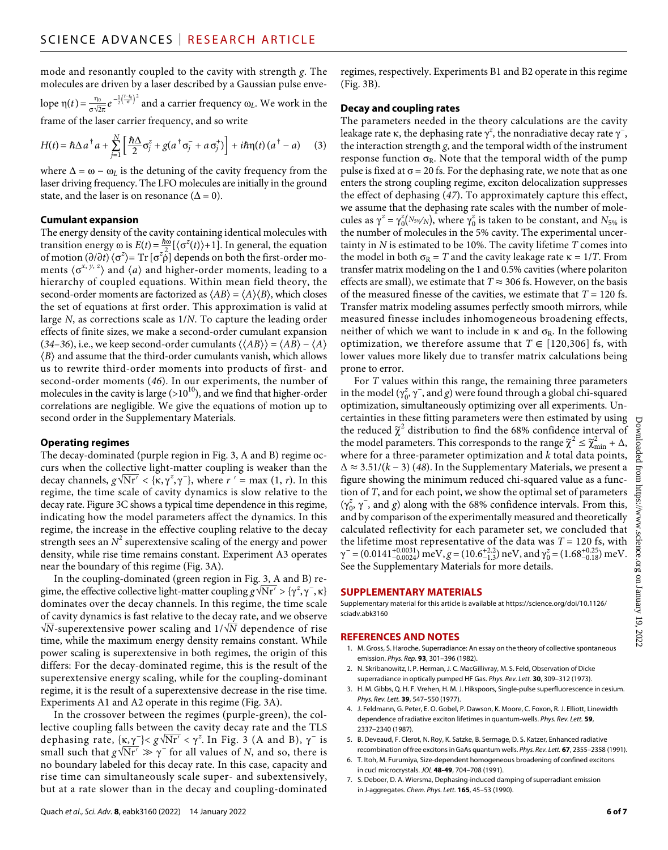mode and resonantly coupled to the cavity with strength *g*. The molecules are driven by a laser described by a Gaussian pulse enve-

molecules are d<br>lope  $\eta(t) = \frac{\eta_0}{\sigma \sqrt{2\pi}}$  $\eta_0$  $\frac{n_0}{\sigma \sqrt{2\pi}} e^{-\frac{1}{2} (\frac{t-t_0}{\sigma})^2}$  and a carrier frequency  $\omega_L$ . We work in the

frame of the laser carrier frequency, and so write

$$
H(t) = \hbar \Delta a^{\dagger} a + \sum_{j=1}^{N} \left[ \frac{\hbar \Delta}{2} \sigma_j^z + g(a^{\dagger} \sigma_j^- + a \sigma_j^+) \right] + i\hbar \eta(t) (a^{\dagger} - a) \tag{3}
$$

state, and the laser is on resonance ( $\Delta = 0$ ).

# **Cumulant expansion**

The energy density of the cavity containing identical molecules with The energy density of the cavity containing identical molecules with<br>transition energy  $\omega$  is  $E(t) = \frac{\hbar \omega}{2} [(\sigma^z(t)) + 1]$ . In general, the equation of motion  $\left(\frac{\partial}{\partial t}\right)$   $\left(\sigma^z\right) = \text{Tr}\left[\sigma^z\hat{\rho}\right]$  depends on both the first-order moments  $\langle \sigma^{x, y, z} \rangle$  and  $\langle a \rangle$  and higher-order moments, leading to a hierarchy of coupled equations. Within mean field theory, the second-order moments are factorized as  $\langle AB \rangle = \langle A \rangle \langle B \rangle$ , which closes the set of equations at first order. This approximation is valid at large *N*, as corrections scale as 1/*N*. To capture the leading order effects of finite sizes, we make a second-order cumulant expansion (34–36), i.e., we keep second-order cumulants  $\langle \langle AB \rangle \rangle = \langle AB \rangle - \langle A \rangle$ ⟨*B*⟩ and assume that the third-order cumulants vanish, which allows us to rewrite third-order moments into products of first- and second-order moments (*46*). In our experiments, the number of molecules in the cavity is large  $(>10^{10})$ , and we find that higher-order correlations are negligible. We give the equations of motion up to second order in the Supplementary Materials.

# **Operating regimes**

The decay-dominated (purple region in Fig. 3, A and B) regime occurs when the collective light-matter coupling is weaker than the The decay-dominated (purple region in Fig. 3, A and B) regime occurs when the collective light-matter coupling is weaker than the decay channels,  $g\sqrt{Nr'} < {x, \gamma^z, \gamma^-}$ , where  $r' = \max(1, r)$ . In this regime, the time scale of cavity dynamics is slow relative to the decay rate. Figure 3C shows a typical time dependence in this regime, indicating how the model parameters affect the dynamics. In this regime, the increase in the effective coupling relative to the decay strength sees an  $N^2$  superextensive scaling of the energy and power density, while rise time remains constant. Experiment A3 operates near the boundary of this regime (Fig. 3A).

In the coupling-dominated (green region in Fig. 3, A and B) regime, the effective collective light-matter coupling  $g\sqrt{Nr'}>\{\gamma^z,\gamma^-, \kappa\}$  $\frac{3}{\text{Nr}'}$ dominates over the decay channels. In this regime, the time scale of cavity dynamics is fast relative to the decay rate, and we observe<br> $\sqrt{N}$  supervationaire neutro sealing and  $1/\sqrt{N}$  dependence of rice √ *N*-superextensive power scaling and 1/ √ *N* dependence of rise time, while the maximum energy density remains constant. While power scaling is superextensive in both regimes, the origin of this differs: For the decay-dominated regime, this is the result of the superextensive energy scaling, while for the coupling-dominant regime, it is the result of a superextensive decrease in the rise time. Experiments A1 and A2 operate in this regime (Fig. 3A).

In the crossover between the regimes (purple-green), the collective coupling falls between the cavity decay rate and the TLS In the crossover between the regimes (purple-green), the collective coupling falls between the cavity decay rate and the TLS dephasing rate,  $\{\kappa, \gamma^-\} < g\sqrt{Nr'} < \gamma^z$ . In Fig. 3 (A and B),  $\gamma^-$  is small such that  $g\sqrt{Nr'} \gg \gamma^-$  for all values of *N*, and so, there is .iis t<br>κ,γ<br>Nr′ no boundary labeled for this decay rate. In this case, capacity and rise time can simultaneously scale super- and subextensively, but at a rate slower than in the decay and coupling-dominated

where  $\Delta = \omega - \omega_L$  is the detuning of the cavity frequency from the laser driving frequency. The LFO molecules are initially in the ground

# regimes, respectively. Experiments B1 and B2 operate in this regime (Fig. 3B).

## **Decay and coupling rates**

The parameters needed in the theory calculations are the cavity leakage rate  $\kappa$ , the dephasing rate  $\gamma^z$ , the nonradiative decay rate  $\gamma^{\bar{z}}$ , the interaction strength *g*, and the temporal width of the instrument response function  $\sigma_R$ . Note that the temporal width of the pump pulse is fixed at  $\sigma$  = 20 fs. For the dephasing rate, we note that as one enters the strong coupling regime, exciton delocalization suppresses the effect of dephasing (*47*). To approximately capture this effect, we assume that the dephasing rate scales with the number of molecules as  $\gamma^z = \gamma_0^z(N_{5\%}/N)$ , where  $\gamma_0^z$  is taken to be constant, and  $N_{5\%}$  is the number of molecules in the 5% cavity. The experimental uncertainty in *N* is estimated to be 10%. The cavity lifetime *T* comes into the model in both  $\sigma_R = T$  and the cavity leakage rate  $\kappa = 1/T$ . From transfer matrix modeling on the 1 and 0.5% cavities (where polariton effects are small), we estimate that  $T \approx 306$  fs. However, on the basis of the measured finesse of the cavities, we estimate that  $T = 120$  fs. Transfer matrix modeling assumes perfectly smooth mirrors, while measured finesse includes inhomogeneous broadening effects, neither of which we want to include in  $\kappa$  and  $\sigma_R$ . In the following optimization, we therefore assume that  $T \in [120, 306]$  fs, with lower values more likely due to transfer matrix calculations being prone to error.

For *T* values within this range, the remaining three parameters in the model ( $\gamma_0^z$ ,  $\gamma$ <sup>-</sup>, and *g*) were found through a global chi-squared optimization, simultaneously optimizing over all experiments. Uncertainties in these fitting parameters were then estimated by using the reduced  $\tilde{\chi}^2$  distribution to find the 68% confidence interval of the model parameters. This corresponds to the range  $\tilde{\chi}^2 \leq \tilde{\chi}^2_{\min} + \Delta$ , where for a three-parameter optimization and *k* total data points, ∆ ≈ 3.51/(*k* − 3) (*48*). In the Supplementary Materials, we present a figure showing the minimum reduced chi-squared value as a function of *T*, and for each point, we show the optimal set of parameters  $(\gamma_0^z$   $\gamma$ <sup>−</sup>, and *g*) along with the 68% confidence intervals. From this, and by comparison of the experimentally measured and theoretically calculated reflectivity for each parameter set, we concluded that the lifetime most representative of the data was  $T = 120$  fs, with  $\gamma$ <sup>-</sup> = (0.0141<sup>+0.0031</sup>) meV, *g* = (10.6<sup>+2.2</sup>) neV, and  $\gamma_0^z$  = (1.68<sup>+0.25</sup>) meV. See the Supplementary Materials for more details.

#### **SUPPLEMENTARY MATERIALS**

Supplementary material for this article is available at [https://science.org/doi/10.1126/](https://science.org/doi/10.1126/sciadv.abk3160) [sciadv.abk3160](https://science.org/doi/10.1126/sciadv.abk3160)

# **REFERENCES AND NOTES**

- 1. M. Gross, S. Haroche, Superradiance: An essay on the theory of collective spontaneous emission. *Phys. Rep.* **93**, 301–396 (1982).
- 2. N. Skribanowitz, I. P. Herman, J. C. MacGillivray, M. S. Feld, Observation of Dicke superradiance in optically pumped HF Gas. *Phys. Rev. Lett.* **30**, 309–312 (1973).
- 3. H. M. Gibbs, Q. H. F. Vrehen, H. M. J. Hikspoors, Single-pulse superfluorescence in cesium. *Phys. Rev. Lett.* **39**, 547–550 (1977).
- 4. J. Feldmann, G. Peter, E. O. Gobel, P. Dawson, K. Moore, C. Foxon, R. J. Elliott, Linewidth dependence of radiative exciton lifetimes in quantum-wells. *Phys. Rev. Lett.* **59**, 2337–2340 (1987).
- 5. B. Deveaud, F. Clerot, N. Roy, K. Satzke, B. Sermage, D. S. Katzer, Enhanced radiative recombination offree excitons inGaAs quantum wells. *Phys. Rev. Lett.* **67**, 2355–2358 (1991).
- 6. T. Itoh, M. Furumiya, Size-dependent homogeneous broadening of confined excitons in cucl microcrystals. *JOL* **48-49**, 704–708 (1991).
- 7. S. Deboer, D. A. Wiersma, Dephasing-induced damping ofsuperradiant emission in J-aggregates. *Chem. Phys. Lett.* **165**, 45–53 (1990).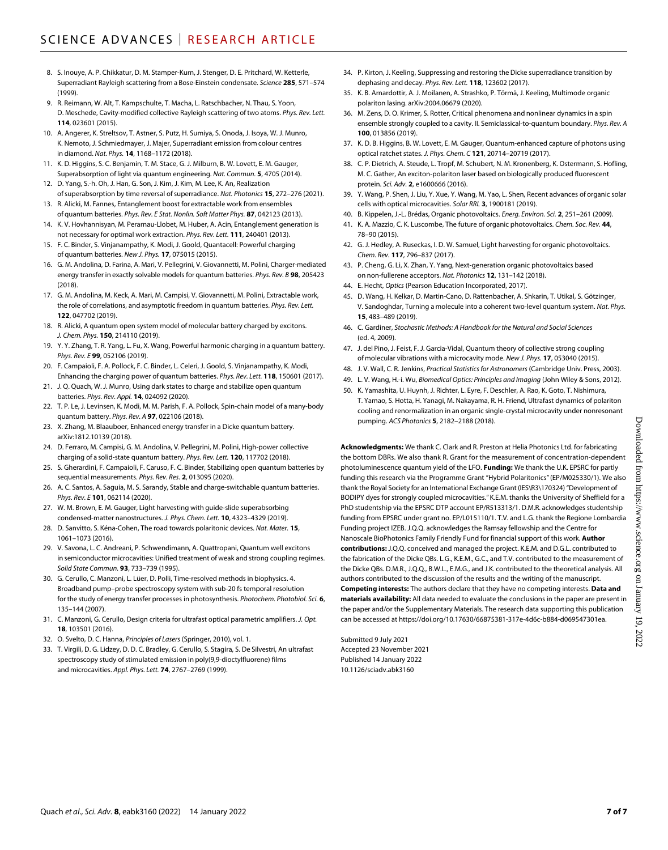- 8. S. Inouye, A. P. Chikkatur, D. M. Stamper-Kurn, J. Stenger, D. E. Pritchard, W. Ketterle, Superradiant Rayleigh scattering from a Bose-Einstein condensate. *Science* **285**, 571–574 (1999).
- 9. R. Reimann, W. Alt, T. Kampschulte, T. Macha, L. Ratschbacher, N. Thau, S. Yoon, D. Meschede, Cavity-modified collective Rayleigh scattering of two atoms. *Phys. Rev. Lett.* **114**, 023601 (2015).
- 10. A. Angerer, K. Streltsov, T. Astner, S. Putz, H. Sumiya, S. Onoda, J. Isoya, W. J. Munro, K. Nemoto, J. Schmiedmayer, J. Majer, Superradiant emission from colour centres in diamond. *Nat. Phys.* **14**, 1168–1172 (2018).
- 11. K. D. Higgins, S. C. Benjamin, T. M. Stace, G. J. Milburn, B. W. Lovett, E. M. Gauger, Superabsorption of light via quantum engineering. *Nat. Commun.* **5**, 4705 (2014).
- 12. D. Yang, S.-h. Oh, J. Han, G. Son, J. Kim, J. Kim, M. Lee, K. An, Realization ofsuperabsorption by time reversal ofsuperradiance. *Nat. Photonics* **15**, 272–276 (2021).
- 13. R. Alicki, M. Fannes, Entanglement boost for extractable work from ensembles of quantum batteries. *Phys. Rev. E Stat. Nonlin. Soft Matter Phys.* **87**, 042123 (2013).
- 14. K. V. Hovhannisyan, M. Perarnau-Llobet, M. Huber, A. Acin, Entanglement generation is not necessary for optimal work extraction. *Phys. Rev. Lett.* **111**, 240401 (2013).
- 15. F. C. Binder, S. Vinjanampathy, K. Modi, J. Goold, Quantacell: Powerful charging of quantum batteries. *New J. Phys.* **17**, 075015 (2015).
- 16. G. M. Andolina, D. Farina, A. Mari, V. Pellegrini, V. Giovannetti, M. Polini, Charger-mediated energy transfer in exactly solvable models for quantum batteries. *Phys. Rev. B* **98**, 205423 (2018).
- 17. G. M. Andolina, M. Keck, A. Mari, M. Campisi, V. Giovannetti, M. Polini, Extractable work, the role of correlations, and asymptotic freedom in quantum batteries. *Phys. Rev. Lett.* **122**, 047702 (2019).
- 18. R. Alicki, A quantum open system model of molecular battery charged by excitons. *J. Chem. Phys.* **150**, 214110 (2019).
- 19. Y. Y. Zhang, T. R. Yang, L. Fu, X. Wang, Powerful harmonic charging in a quantum battery. *Phys. Rev. E* **99**, 052106 (2019).
- 20. F. Campaioli, F. A. Pollock, F. C. Binder, L. Celeri, J. Goold, S. Vinjanampathy, K. Modi, Enhancing the charging power of quantum batteries. *Phys. Rev. Lett.* **118**, 150601 (2017).
- 21. J. Q. Quach, W. J. Munro, Using dark states to charge and stabilize open quantum batteries. *Phys. Rev. Appl.* **14**, 024092 (2020).
- 22. T. P. Le, J. Levinsen, K. Modi, M. M. Parish, F. A. Pollock, Spin-chain model of a many-body quantum battery. *Phys. Rev. A* **97**, 022106 (2018).
- 23. X. Zhang, M. Blaauboer, Enhanced energy transfer in a Dicke quantum battery. arXiv[:1812.10139](https://arxiv.org/abs/1812.10139) (2018).
- 24. D. Ferraro, M. Campisi, G. M. Andolina, V. Pellegrini, M. Polini, High-power collective charging of a solid-state quantum battery. *Phys. Rev. Lett.* **120**, 117702 (2018).
- 25. S. Gherardini, F. Campaioli, F. Caruso, F. C. Binder, Stabilizing open quantum batteries by sequential measurements. *Phys. Rev. Res.* **2**, 013095 (2020).
- 26. A. C. Santos, A. Saguia, M. S. Sarandy, Stable and charge-switchable quantum batteries. *Phys. Rev. E* **101**, 062114 (2020).
- 27. W. M. Brown, E. M. Gauger, Light harvesting with guide-slide superabsorbing condensed-matter nanostructures. *J. Phys. Chem. Lett.* **10**, 4323–4329 (2019).
- 28. D. Sanvitto, S. Kéna-Cohen, The road towards polaritonic devices. *Nat. Mater.* **15**, 1061–1073 (2016).
- 29. V. Savona, L. C. Andreani, P. Schwendimann, A. Quattropani, Quantum well excitons in semiconductor microcavities: Unified treatment of weak and strong coupling regimes. *Solid State Commun.* **93**, 733–739 (1995).
- 30. G. Cerullo, C. Manzoni, L. Lüer, D. Polli, Time-resolved methods in biophysics. 4. Broadband pump–probe spectroscopy system with sub-20 fs temporal resolution for the study of energy transfer processes in photosynthesis. *Photochem. Photobiol. Sci.* **6**, 135–144 (2007).
- 31. C. Manzoni, G. Cerullo, Design criteria for ultrafast optical parametric amplifiers. *J. Opt.* **18**, 103501 (2016).
- 32. O. Svelto, D. C. Hanna, *Principles of Lasers* (Springer, 2010), vol. 1.
- 33. T. Virgili, D. G. Lidzey, D. D. C. Bradley, G. Cerullo, S. Stagira, S. De Silvestri, An ultrafast spectroscopy study of stimulated emission in poly(9,9-dioctylfluorene) films and microcavities. *Appl. Phys. Lett.* **74**, 2767–2769 (1999).
- 34. P. Kirton, J. Keeling, Suppressing and restoring the Dicke superradiance transition by dephasing and decay. *Phys. Rev. Lett.* **118**, 123602 (2017).
- 35. K. B. Arnardottir, A. J. Moilanen, A. Strashko, P. Törmä, J. Keeling, Multimode organic polariton lasing. arXiv[:2004.06679](https://arxiv.org/abs/2004.06679) (2020).
- 36. M. Zens, D. O. Krimer, S. Rotter, Critical phenomena and nonlinear dynamics in a spin ensemble strongly coupled to a cavity. II. Semiclassical-to-quantum boundary. *Phys. Rev. A* **100**, 013856 (2019).
- 37. K. D. B. Higgins, B. W. Lovett, E. M. Gauger, Quantum-enhanced capture of photons using optical ratchet states. *J. Phys. Chem. C* **121**, 20714–20719 (2017).
- 38. C. P. Dietrich, A. Steude, L. Tropf, M. Schubert, N. M. Kronenberg, K. Ostermann, S. Hofling, M. C. Gather, An exciton-polariton laser based on biologically produced fluorescent protein. *Sci. Adv.* **2**, e1600666 (2016).
- 39. Y. Wang, P. Shen, J. Liu, Y. Xue, Y. Wang, M. Yao, L. Shen, Recent advances of organic solar cells with optical microcavities. *Solar RRL* **3**, 1900181 (2019).
- 40. B. Kippelen, J.-L. Brédas, Organic photovoltaics. *Energ. Environ. Sci.* **2**, 251–261 (2009).
- 41. K. A. Mazzio, C. K. Luscombe, The future of organic photovoltaics. *Chem. Soc. Rev.* **44**, 78–90 (2015).
- 42. G. J. Hedley, A. Ruseckas, I. D. W. Samuel, Light harvesting for organic photovoltaics. *Chem. Rev.* **117**, 796–837 (2017).
- 43. P. Cheng, G. Li, X. Zhan, Y. Yang, Next-generation organic photovoltaics based on non-fullerene acceptors. *Nat. Photonics* **12**, 131–142 (2018).
- 44. E. Hecht, *Optics* (Pearson Education Incorporated, 2017).
- 45. D. Wang, H. Kelkar, D. Martin-Cano, D. Rattenbacher, A. Shkarin, T. Utikal, S. Götzinger, V. Sandoghdar, Turning a molecule into a coherent two-level quantum system. *Nat. Phys.* **15**, 483–489 (2019).
- 46. C. Gardiner, *Stochastic Methods: A Handbook for the Natural and Social Sciences* (ed. 4, 2009).
- 47. J. del Pino, J. Feist, F. J. Garcia-Vidal, Quantum theory of collective strong coupling of molecular vibrations with a microcavity mode. *New J. Phys.* **17**, 053040 (2015).
- 48. J. V. Wall, C. R. Jenkins, *Practical Statistics for Astronomers* (Cambridge Univ. Press, 2003).
- 49. L. V. Wang, H.-i. Wu, *Biomedical Optics: Principles and Imaging* (John Wiley & Sons, 2012).
- 50. K. Yamashita, U. Huynh, J. Richter, L. Eyre, F. Deschler, A. Rao, K. Goto, T. Nishimura, T. Yamao, S. Hotta, H. Yanagi, M. Nakayama, R. H. Friend, Ultrafast dynamics of polariton cooling and renormalization in an organic single-crystal microcavity under nonresonant pumping. *ACS Photonics* **5**, 2182–2188 (2018).

**Acknowledgments:** We thank C. Clark and R. Preston at Helia Photonics Ltd. for fabricating the bottom DBRs. We also thank R. Grant for the measurement of concentration-dependent photoluminescence quantum yield of the LFO. **Funding:** We thank the U.K. EPSRC for partly funding this research via the Programme Grant "Hybrid Polaritonics" (EP/M025330/1). We also thank the Royal Society for an International Exchange Grant (IES\R3\170324) "Development of BODIPY dyes for strongly coupled microcavities." K.E.M. thanks the University of Sheffield for a PhD studentship via the EPSRC DTP account EP/R513313/1. D.M.R. acknowledges studentship funding from EPSRC under grant no. EP/L015110/1. T.V. and L.G. thank the Regione Lombardia Funding project IZEB. J.Q.Q. acknowledges the Ramsay fellowship and the Centre for Nanoscale BioPhotonics Family Friendly Fund for financial support of this work. **Author contributions:** J.Q.Q. conceived and managed the project. K.E.M. and D.G.L. contributed to the fabrication of the Dicke QBs. L.G., K.E.M., G.C., and T.V. contributed to the measurement of the Dicke QBs. D.M.R., J.Q.Q., B.W.L., E.M.G., and J.K. contributed to the theoretical analysis. All authors contributed to the discussion of the results and the writing of the manuscript. **Competing interests:** The authors declare that they have no competing interests. **Data and materials availability:** All data needed to evaluate the conclusions in the paper are present in the paper and/or the Supplementary Materials. The research data supporting this publication can be accessed at <https://doi.org/10.17630/66875381-317e-4d6c-b884-d069547301ea>.

Submitted 9 July 2021 Accepted 23 November 2021 Published 14 January 2022 10.1126/sciadv.abk3160